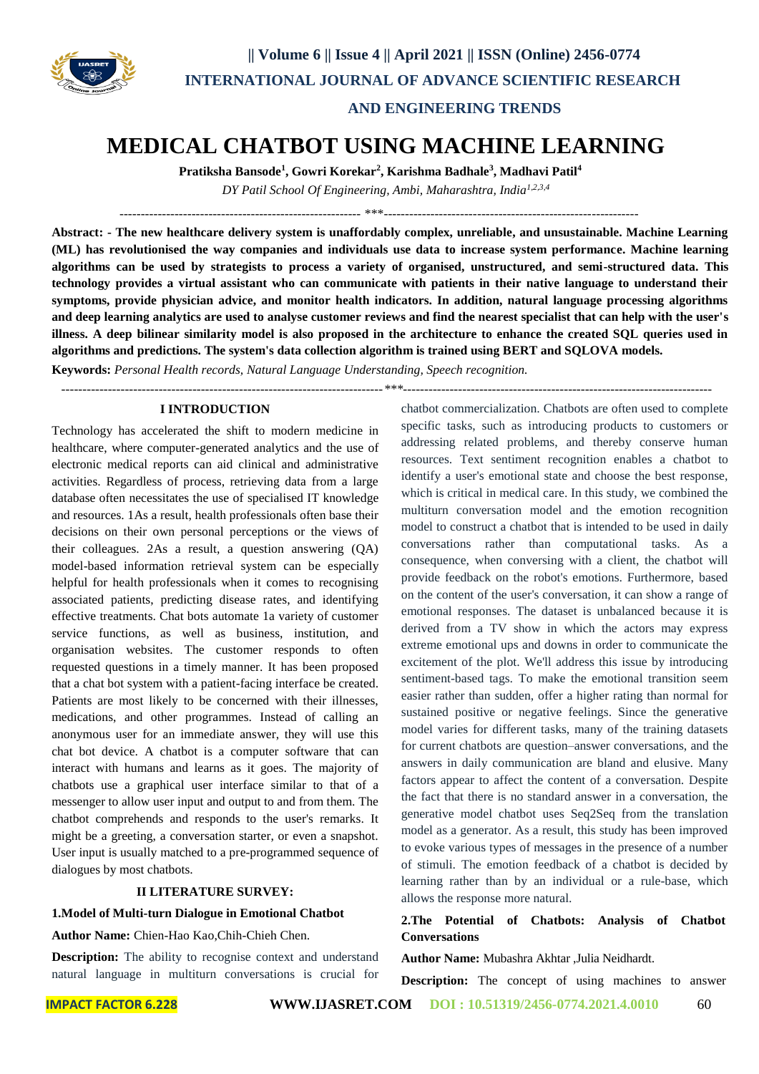

 **|| Volume 6 || Issue 4 || April 2021 || ISSN (Online) 2456-0774 INTERNATIONAL JOURNAL OF ADVANCE SCIENTIFIC RESEARCH** 

 **AND ENGINEERING TRENDS** 

# **MEDICAL CHATBOT USING MACHINE LEARNING**

**Pratiksha Bansode<sup>1</sup> , Gowri Korekar<sup>2</sup> , Karishma Badhale<sup>3</sup> , Madhavi Patil<sup>4</sup>**

*DY Patil School Of Engineering, Ambi, Maharashtra, India1,2,3,4*

--------------------------------------------------------- \*\*\*------------------------------------------------------------

**Abstract: - The new healthcare delivery system is unaffordably complex, unreliable, and unsustainable. Machine Learning (ML) has revolutionised the way companies and individuals use data to increase system performance. Machine learning algorithms can be used by strategists to process a variety of organised, unstructured, and semi-structured data. This technology provides a virtual assistant who can communicate with patients in their native language to understand their symptoms, provide physician advice, and monitor health indicators. In addition, natural language processing algorithms and deep learning analytics are used to analyse customer reviews and find the nearest specialist that can help with the user's illness. A deep bilinear similarity model is also proposed in the architecture to enhance the created SQL queries used in algorithms and predictions. The system's data collection algorithm is trained using BERT and SQLOVA models.**

**Keywords:** *Personal Health records, Natural Language Understanding, Speech recognition.*

*----------------------------------------------------------------------------\*\*\*-------------------------------------------------------------------------*

#### **I INTRODUCTION**

Technology has accelerated the shift to modern medicine in healthcare, where computer-generated analytics and the use of electronic medical reports can aid clinical and administrative activities. Regardless of process, retrieving data from a large database often necessitates the use of specialised IT knowledge and resources. 1As a result, health professionals often base their decisions on their own personal perceptions or the views of their colleagues. 2As a result, a question answering (QA) model-based information retrieval system can be especially helpful for health professionals when it comes to recognising associated patients, predicting disease rates, and identifying effective treatments. Chat bots automate 1a variety of customer service functions, as well as business, institution, and organisation websites. The customer responds to often requested questions in a timely manner. It has been proposed that a chat bot system with a patient-facing interface be created. Patients are most likely to be concerned with their illnesses, medications, and other programmes. Instead of calling an anonymous user for an immediate answer, they will use this chat bot device. A chatbot is a computer software that can interact with humans and learns as it goes. The majority of chatbots use a graphical user interface similar to that of a messenger to allow user input and output to and from them. The chatbot comprehends and responds to the user's remarks. It might be a greeting, a conversation starter, or even a snapshot. User input is usually matched to a pre-programmed sequence of dialogues by most chatbots.

#### **II LITERATURE SURVEY:**

**1.Model of Multi-turn Dialogue in Emotional Chatbot**

#### **Author Name:** Chien-Hao Kao,Chih-Chieh Chen.

**Description:** The ability to recognise context and understand natural language in multiturn conversations is crucial for chatbot commercialization. Chatbots are often used to complete specific tasks, such as introducing products to customers or addressing related problems, and thereby conserve human resources. Text sentiment recognition enables a chatbot to identify a user's emotional state and choose the best response, which is critical in medical care. In this study, we combined the multiturn conversation model and the emotion recognition model to construct a chatbot that is intended to be used in daily conversations rather than computational tasks. As a consequence, when conversing with a client, the chatbot will provide feedback on the robot's emotions. Furthermore, based on the content of the user's conversation, it can show a range of emotional responses. The dataset is unbalanced because it is derived from a TV show in which the actors may express extreme emotional ups and downs in order to communicate the excitement of the plot. We'll address this issue by introducing sentiment-based tags. To make the emotional transition seem easier rather than sudden, offer a higher rating than normal for sustained positive or negative feelings. Since the generative model varies for different tasks, many of the training datasets for current chatbots are question–answer conversations, and the answers in daily communication are bland and elusive. Many factors appear to affect the content of a conversation. Despite the fact that there is no standard answer in a conversation, the generative model chatbot uses Seq2Seq from the translation model as a generator. As a result, this study has been improved to evoke various types of messages in the presence of a number of stimuli. The emotion feedback of a chatbot is decided by learning rather than by an individual or a rule-base, which allows the response more natural.

### **2.The Potential of Chatbots: Analysis of Chatbot Conversations**

**Author Name:** Mubashra Akhtar ,Julia Neidhardt.

**Description:** The concept of using machines to answer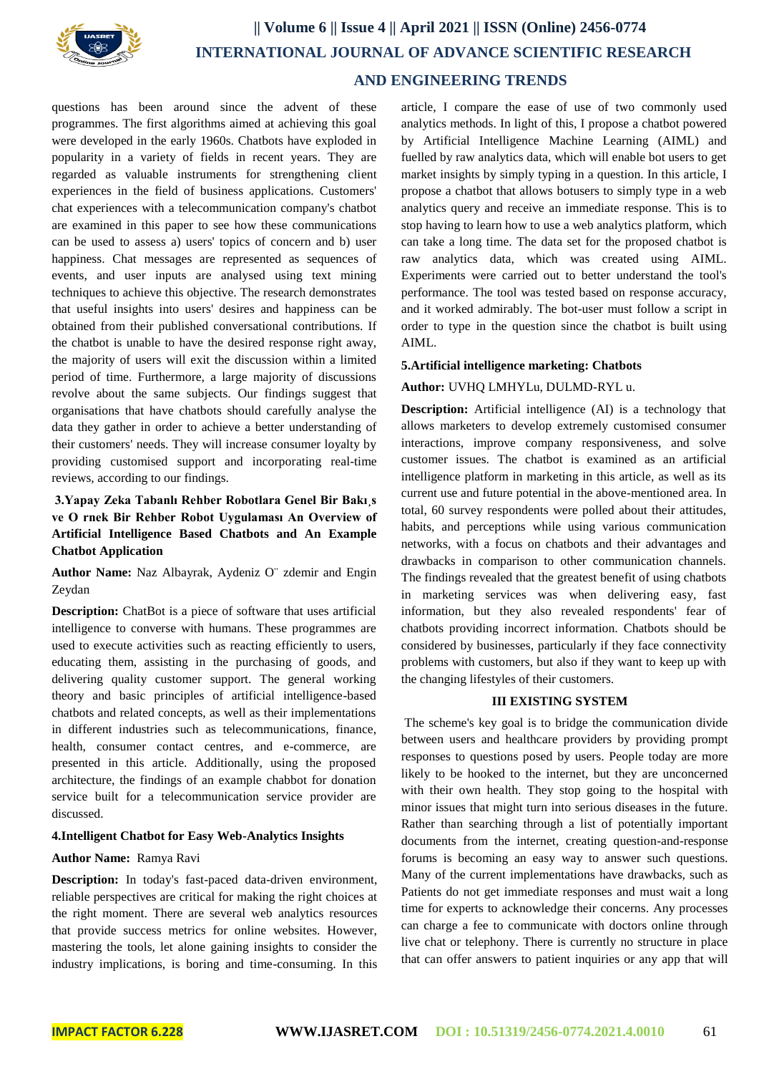

## **|| Volume 6 || Issue 4 || April 2021 || ISSN (Online) 2456-0774 INTERNATIONAL JOURNAL OF ADVANCE SCIENTIFIC RESEARCH AND ENGINEERING TRENDS**

questions has been around since the advent of these programmes. The first algorithms aimed at achieving this goal were developed in the early 1960s. Chatbots have exploded in popularity in a variety of fields in recent years. They are regarded as valuable instruments for strengthening client experiences in the field of business applications. Customers' chat experiences with a telecommunication company's chatbot are examined in this paper to see how these communications can be used to assess a) users' topics of concern and b) user happiness. Chat messages are represented as sequences of events, and user inputs are analysed using text mining techniques to achieve this objective. The research demonstrates that useful insights into users' desires and happiness can be obtained from their published conversational contributions. If the chatbot is unable to have the desired response right away, the majority of users will exit the discussion within a limited period of time. Furthermore, a large majority of discussions revolve about the same subjects. Our findings suggest that organisations that have chatbots should carefully analyse the data they gather in order to achieve a better understanding of their customers' needs. They will increase consumer loyalty by providing customised support and incorporating real-time reviews, according to our findings.

### **3.Yapay Zeka Tabanlı Rehber Robotlara Genel Bir Bakı¸s ve O rnek Bir Rehber Robot Uygulaması An Overview of Artificial Intelligence Based Chatbots and An Example Chatbot Application**

**Author Name:** Naz Albayrak, Aydeniz O¨ zdemir and Engin Zeydan

**Description:** ChatBot is a piece of software that uses artificial intelligence to converse with humans. These programmes are used to execute activities such as reacting efficiently to users, educating them, assisting in the purchasing of goods, and delivering quality customer support. The general working theory and basic principles of artificial intelligence-based chatbots and related concepts, as well as their implementations in different industries such as telecommunications, finance, health, consumer contact centres, and e-commerce, are presented in this article. Additionally, using the proposed architecture, the findings of an example chabbot for donation service built for a telecommunication service provider are discussed.

#### **4.Intelligent Chatbot for Easy Web-Analytics Insights**

#### **Author Name:** Ramya Ravi

**Description:** In today's fast-paced data-driven environment, reliable perspectives are critical for making the right choices at the right moment. There are several web analytics resources that provide success metrics for online websites. However, mastering the tools, let alone gaining insights to consider the industry implications, is boring and time-consuming. In this article, I compare the ease of use of two commonly used analytics methods. In light of this, I propose a chatbot powered by Artificial Intelligence Machine Learning (AIML) and fuelled by raw analytics data, which will enable bot users to get market insights by simply typing in a question. In this article, I propose a chatbot that allows botusers to simply type in a web analytics query and receive an immediate response. This is to stop having to learn how to use a web analytics platform, which can take a long time. The data set for the proposed chatbot is raw analytics data, which was created using AIML. Experiments were carried out to better understand the tool's performance. The tool was tested based on response accuracy, and it worked admirably. The bot-user must follow a script in order to type in the question since the chatbot is built using AIML.

#### **5.Artificial intelligence marketing: Chatbots**

#### **Author:** UVHQ LMHYLu, DULMD-RYL u.

**Description:** Artificial intelligence (AI) is a technology that allows marketers to develop extremely customised consumer interactions, improve company responsiveness, and solve customer issues. The chatbot is examined as an artificial intelligence platform in marketing in this article, as well as its current use and future potential in the above-mentioned area. In total, 60 survey respondents were polled about their attitudes, habits, and perceptions while using various communication networks, with a focus on chatbots and their advantages and drawbacks in comparison to other communication channels. The findings revealed that the greatest benefit of using chatbots in marketing services was when delivering easy, fast information, but they also revealed respondents' fear of chatbots providing incorrect information. Chatbots should be considered by businesses, particularly if they face connectivity problems with customers, but also if they want to keep up with the changing lifestyles of their customers.

#### **III EXISTING SYSTEM**

The scheme's key goal is to bridge the communication divide between users and healthcare providers by providing prompt responses to questions posed by users. People today are more likely to be hooked to the internet, but they are unconcerned with their own health. They stop going to the hospital with minor issues that might turn into serious diseases in the future. Rather than searching through a list of potentially important documents from the internet, creating question-and-response forums is becoming an easy way to answer such questions. Many of the current implementations have drawbacks, such as Patients do not get immediate responses and must wait a long time for experts to acknowledge their concerns. Any processes can charge a fee to communicate with doctors online through live chat or telephony. There is currently no structure in place that can offer answers to patient inquiries or any app that will